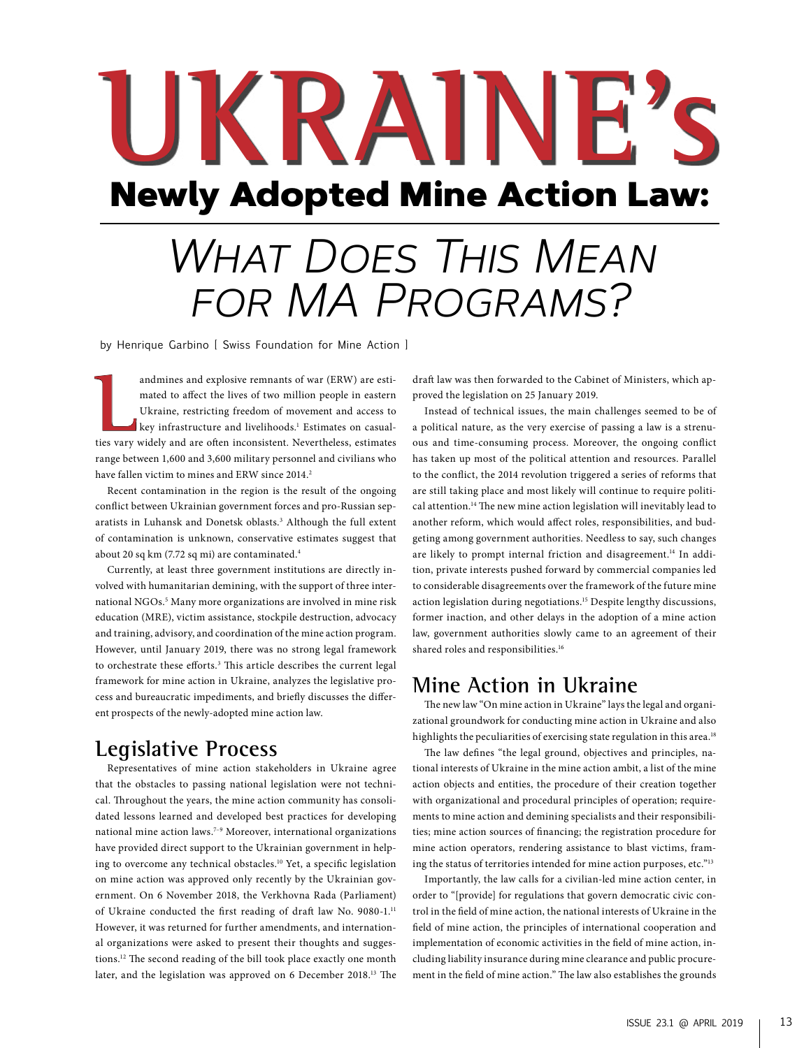# Newly Adopted Mine Action Law: **UKRAINE's**

## **WHAT DOES THIS MEAN** *for MA Programs?*

by Henrique Garbino [ Swiss Foundation for Mine Action ]

andmines and explosive remnants of war (ERW) are estimated to affect the lives of two million people in eastern<br>Ukraine, restricting freedom of movement and access to<br>key infrastructure and livelihoods.<sup>1</sup> Estimates on cas andmines and explosive remnants of war (ERW) are estimated to affect the lives of two million people in eastern Ukraine, restricting freedom of movement and access to key infrastructure and livelihoods.<sup>1</sup> Estimates on casualrange between 1,600 and 3,600 military personnel and civilians who have fallen victim to mines and ERW since 2014.<sup>2</sup>

Recent contamination in the region is the result of the ongoing conflict between Ukrainian government forces and pro-Russian separatists in Luhansk and Donetsk oblasts.<sup>3</sup> Although the full extent of contamination is unknown, conservative estimates suggest that about 20 sq km (7.72 sq mi) are contaminated.4

Currently, at least three government institutions are directly involved with humanitarian demining, with the support of three international NGOs.<sup>5</sup> Many more organizations are involved in mine risk education (MRE), victim assistance, stockpile destruction, advocacy and training, advisory, and coordination of the mine action program. However, until January 2019, there was no strong legal framework to orchestrate these efforts.<sup>3</sup> This article describes the current legal framework for mine action in Ukraine, analyzes the legislative process and bureaucratic impediments, and briefly discusses the different prospects of the newly-adopted mine action law.

#### **Legislative Process**

Representatives of mine action stakeholders in Ukraine agree that the obstacles to passing national legislation were not technical. Throughout the years, the mine action community has consolidated lessons learned and developed best practices for developing national mine action laws.<sup>7-9</sup> Moreover, international organizations have provided direct support to the Ukrainian government in helping to overcome any technical obstacles.<sup>10</sup> Yet, a specific legislation on mine action was approved only recently by the Ukrainian government. On 6 November 2018, the Verkhovna Rada (Parliament) of Ukraine conducted the first reading of draft law No. 9080-1.<sup>11</sup> However, it was returned for further amendments, and international organizations were asked to present their thoughts and suggestions.12 The second reading of the bill took place exactly one month later, and the legislation was approved on 6 December 2018.13 The

draft law was then forwarded to the Cabinet of Ministers, which approved the legislation on 25 January 2019.

Instead of technical issues, the main challenges seemed to be of a political nature, as the very exercise of passing a law is a strenuous and time-consuming process. Moreover, the ongoing conflict has taken up most of the political attention and resources. Parallel to the conflict, the 2014 revolution triggered a series of reforms that are still taking place and most likely will continue to require political attention.14 The new mine action legislation will inevitably lead to another reform, which would affect roles, responsibilities, and budgeting among government authorities. Needless to say, such changes are likely to prompt internal friction and disagreement.<sup>14</sup> In addition, private interests pushed forward by commercial companies led to considerable disagreements over the framework of the future mine action legislation during negotiations.<sup>15</sup> Despite lengthy discussions, former inaction, and other delays in the adoption of a mine action law, government authorities slowly came to an agreement of their shared roles and responsibilities.<sup>16</sup>

#### **Mine Action in Ukraine**

The new law "On mine action in Ukraine" lays the legal and organizational groundwork for conducting mine action in Ukraine and also highlights the peculiarities of exercising state regulation in this area.<sup>18</sup>

The law defines "the legal ground, objectives and principles, national interests of Ukraine in the mine action ambit, a list of the mine action objects and entities, the procedure of their creation together with organizational and procedural principles of operation; requirements to mine action and demining specialists and their responsibilities; mine action sources of financing; the registration procedure for mine action operators, rendering assistance to blast victims, framing the status of territories intended for mine action purposes, etc."13

Importantly, the law calls for a civilian-led mine action center, in order to "[provide] for regulations that govern democratic civic control in the field of mine action, the national interests of Ukraine in the field of mine action, the principles of international cooperation and implementation of economic activities in the field of mine action, including liability insurance during mine clearance and public procurement in the field of mine action." The law also establishes the grounds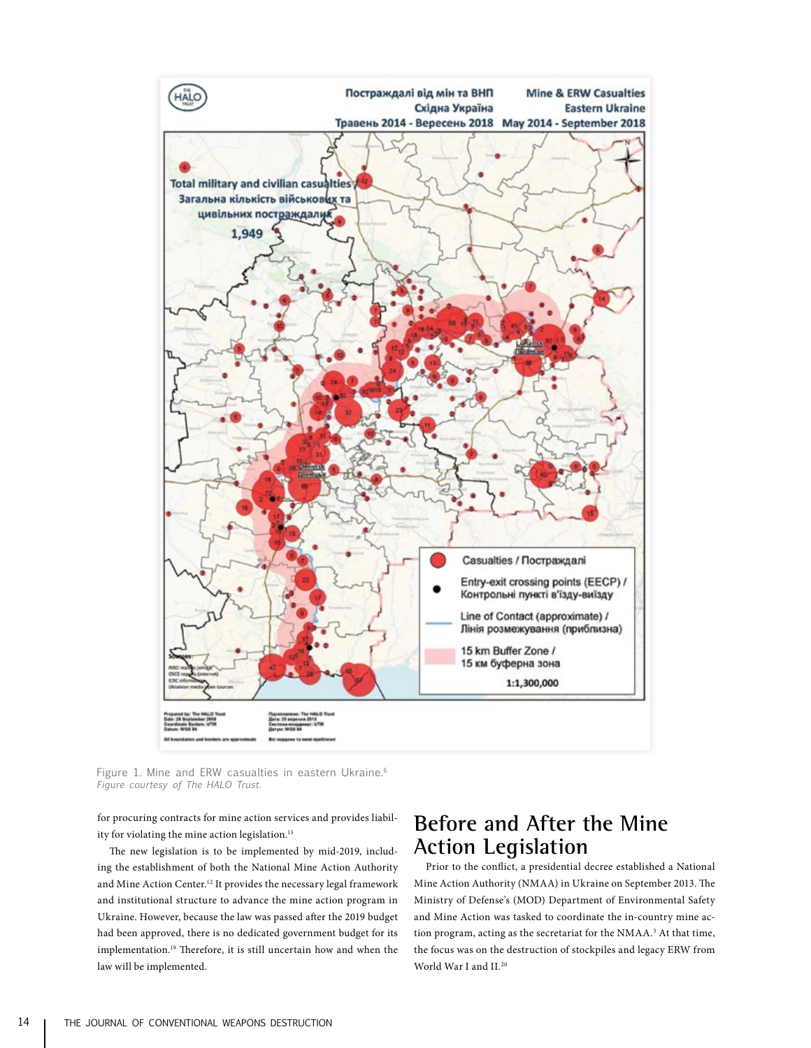

Figure 1. Mine and ERW casualties in eastern Ukraine.<sup>6</sup> *Figure courtesy of The HALO Trust.*

for procuring contracts for mine action services and provides liability for violating the mine action legislation.<sup>13</sup>

The new legislation is to be implemented by mid-2019, including the establishment of both the National Mine Action Authority and Mine Action Center.12 It provides the necessary legal framework and institutional structure to advance the mine action program in Ukraine. However, because the law was passed after the 2019 budget had been approved, there is no dedicated government budget for its implementation.19 Therefore, it is still uncertain how and when the law will be implemented.

### **Before and After the Mine Action Legislation**

Prior to the conflict, a presidential decree established a National Mine Action Authority (NMAA) in Ukraine on September 2013. The Ministry of Defense's (MOD) Department of Environmental Safety and Mine Action was tasked to coordinate the in-country mine action program, acting as the secretariat for the NMAA.<sup>3</sup> At that time, the focus was on the destruction of stockpiles and legacy ERW from World War I and II.20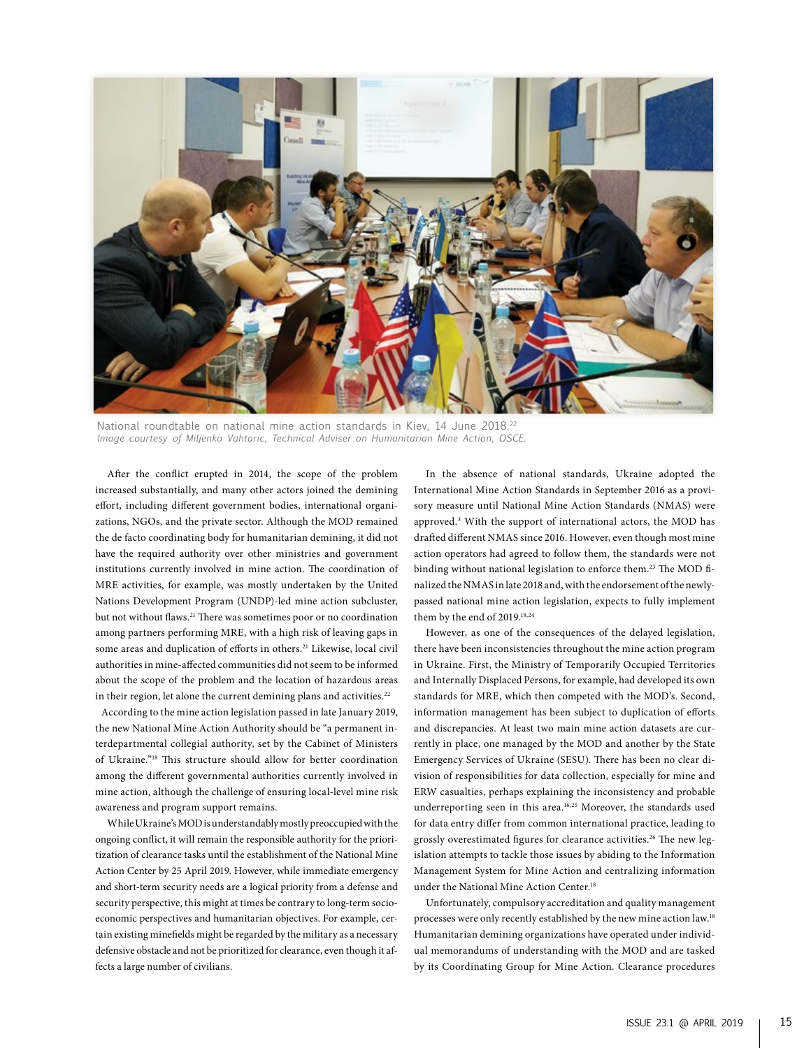

National roundtable on national mine action standards in Kiev, 14 June 2018.<sup>22</sup> *Image courtesy of Miljenko Vahtaric, Technical Adviser on Humanitarian Mine Action, OSCE.*

After the conflict erupted in 2014, the scope of the problem increased substantially, and many other actors joined the demining effort, including different government bodies, international organizations, NGOs, and the private sector. Although the MOD remained the de facto coordinating body for humanitarian demining, it did not have the required authority over other ministries and government institutions currently involved in mine action. The coordination of MRE activities, for example, was mostly undertaken by the United Nations Development Program (UNDP)-led mine action subcluster, but not without flaws.<sup>21</sup> There was sometimes poor or no coordination among partners performing MRE, with a high risk of leaving gaps in some areas and duplication of efforts in others.<sup>21</sup> Likewise, local civil authorities in mine-affected communities did not seem to be informed about the scope of the problem and the location of hazardous areas in their region, let alone the current demining plans and activities.<sup>22</sup>

According to the mine action legislation passed in late January 2019, the new National Mine Action Authority should be "a permanent interdepartmental collegial authority, set by the Cabinet of Ministers of Ukraine."18 This structure should allow for better coordination among the different governmental authorities currently involved in mine action, although the challenge of ensuring local-level mine risk awareness and program support remains.

While Ukraine's MOD is understandably mostly preoccupied with the ongoing conflict, it will remain the responsible authority for the prioritization of clearance tasks until the establishment of the National Mine Action Center by 25 April 2019. However, while immediate emergency and short-term security needs are a logical priority from a defense and security perspective, this might at times be contrary to long-term socioeconomic perspectives and humanitarian objectives. For example, certain existing minefields might be regarded by the military as a necessary defensive obstacle and not be prioritized for clearance, even though it affects a large number of civilians.

In the absence of national standards, Ukraine adopted the International Mine Action Standards in September 2016 as a provisory measure until National Mine Action Standards (NMAS) were approved.3 With the support of international actors, the MOD has drafted different NMAS since 2016. However, even though most mine action operators had agreed to follow them, the standards were not binding without national legislation to enforce them.<sup>23</sup> The MOD finalized the NMAS in late 2018 and, with the endorsement of the newlypassed national mine action legislation, expects to fully implement them by the end of 2019.<sup>18,24</sup>

However, as one of the consequences of the delayed legislation, there have been inconsistencies throughout the mine action program in Ukraine. First, the Ministry of Temporarily Occupied Territories and Internally Displaced Persons, for example, had developed its own standards for MRE, which then competed with the MOD's. Second, information management has been subject to duplication of efforts and discrepancies. At least two main mine action datasets are currently in place, one managed by the MOD and another by the State Emergency Services of Ukraine (SESU). There has been no clear division of responsibilities for data collection, especially for mine and ERW casualties, perhaps explaining the inconsistency and probable underreporting seen in this area.16,25 Moreover, the standards used for data entry differ from common international practice, leading to grossly overestimated figures for clearance activities.<sup>26</sup> The new legislation attempts to tackle those issues by abiding to the Information Management System for Mine Action and centralizing information under the National Mine Action Center.<sup>18</sup>

Unfortunately, compulsory accreditation and quality management processes were only recently established by the new mine action law.18 Humanitarian demining organizations have operated under individual memorandums of understanding with the MOD and are tasked by its Coordinating Group for Mine Action. Clearance procedures